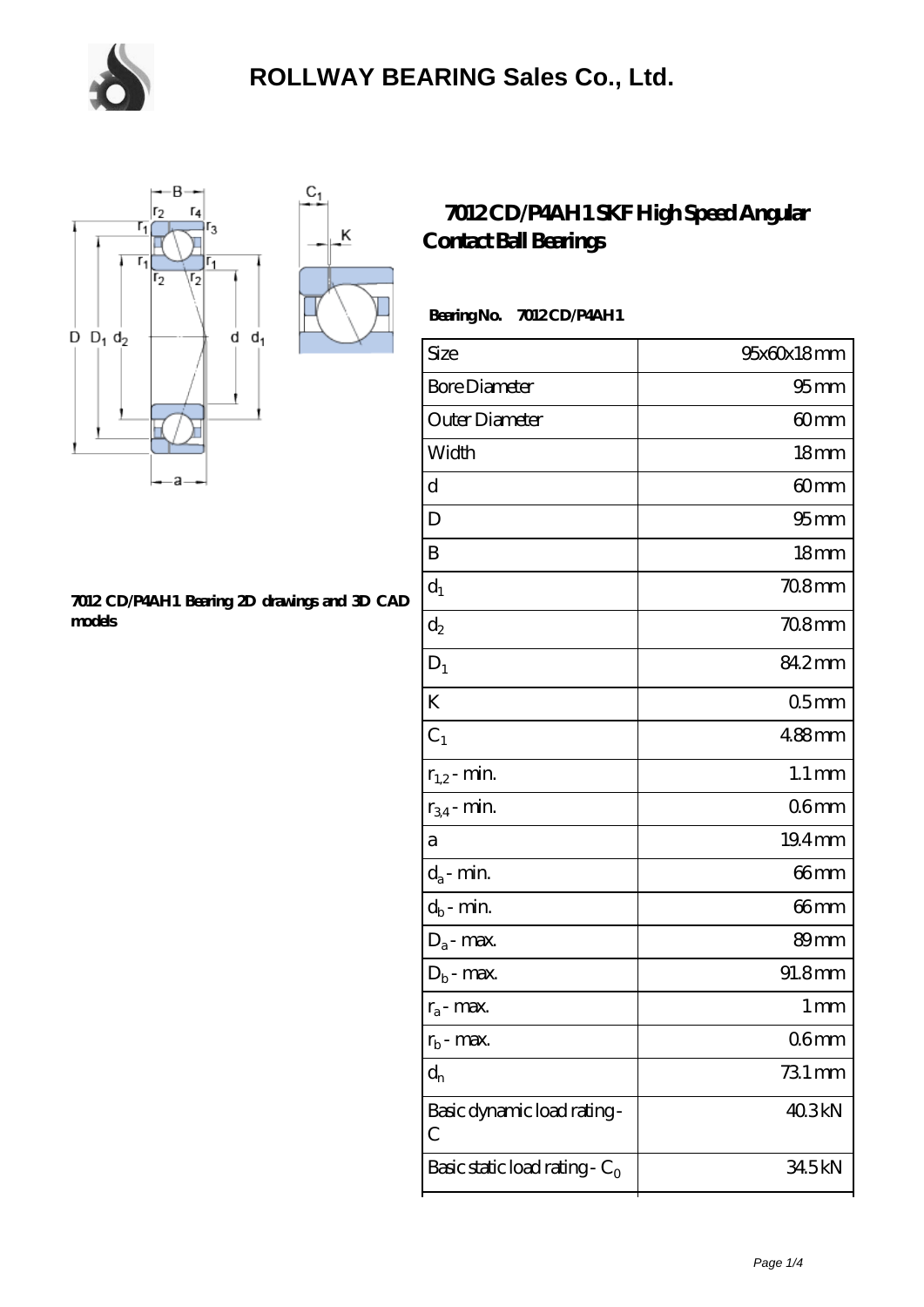



#### **[7012 CD/P4AH1 Bearing 2D drawings and 3D CAD](https://m.chooseyourcufflinks.com/pic-938514.html) [models](https://m.chooseyourcufflinks.com/pic-938514.html)**

### **[7012 CD/P4AH1 SKF High Speed Angular](https://m.chooseyourcufflinks.com/skf-bearing/7012-cd-p4ah1.html) [Contact Ball Bearings](https://m.chooseyourcufflinks.com/skf-bearing/7012-cd-p4ah1.html)**

### **Bearing No. 7012 CD/P4AH1**

| Size                             | 95x60x18mm          |
|----------------------------------|---------------------|
| <b>Bore Diameter</b>             | 95 <sub>mm</sub>    |
| Outer Diameter                   | 60mm                |
| Width                            | 18 <sub>mm</sub>    |
| d                                | 60mm                |
| D                                | 95 <sub>mm</sub>    |
| B                                | 18 <sub>mm</sub>    |
| $d_1$                            | 708mm               |
| $d_2$                            | $708$ mm            |
| $D_1$                            | 84.2mm              |
| K                                | 05 <sub>mm</sub>    |
| $C_1$                            | $488$ mm            |
| $r_{1,2}$ - min.                 | $1.1 \,\mathrm{mm}$ |
| $r_{34}$ - min.                  | 06mm                |
| a                                | 19.4mm              |
| $d_a$ - min.                     | 66 <sub>mm</sub>    |
| $d_b\operatorname{-} \min$       | 66mm                |
| $D_a$ - max.                     | 89mm                |
| $D_b$ - max.                     | 91.8mm              |
| $r_a$ - max.                     | $1 \,\mathrm{mm}$   |
| $r_{b}$ - max.                   | 06 <sub>mm</sub>    |
| $d_n$                            | 731 mm              |
| Basic dynamic load rating-<br>С  | 40.3kN              |
| Basic static load rating - $C_0$ | 34.5kN              |
|                                  |                     |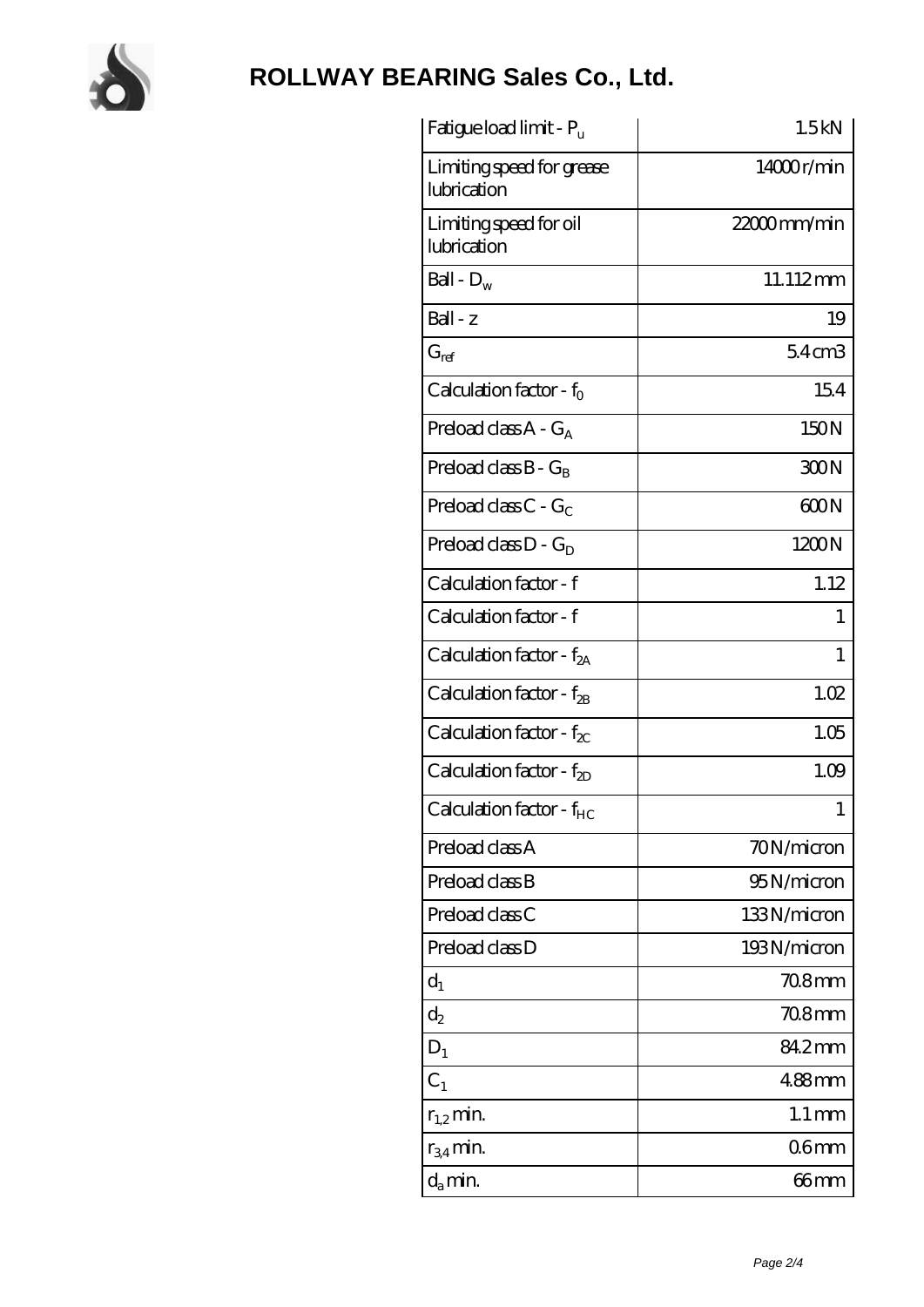

# **[ROLLWAY BEARING Sales Co., Ltd.](https://m.chooseyourcufflinks.com)**

| Fatigue load limit - P <sub>u</sub>      | 1.5kN               |
|------------------------------------------|---------------------|
| Limiting speed for grease<br>lubrication | 14000r/min          |
| Limiting speed for oil<br>lubrication    | $2200$ mm/min       |
| Ball - $D_w$                             | 11.112mm            |
| Ball - z                                 | 19                  |
| $G_{ref}$                                | 54 <sub>cm3</sub>   |
| Calculation factor - $f_0$               | 154                 |
| Preload class $A - G_A$                  | 150N                |
| Preload class $B - G_B$                  | 300N                |
| Preload class $C - G_C$                  | 600N                |
| Preload class $D - G_D$                  | 1200N               |
| Calculation factor - f                   | 1.12                |
| Calculation factor - f                   | 1                   |
| Calculation factor - f <sub>2A</sub>     | 1                   |
| Calculation factor - f <sub>2B</sub>     | 1.02                |
| Calculation factor - $f_{\chi}$          | 1.05                |
| Calculation factor - $f_{2D}$            | 1.09                |
| Calculation factor - f <sub>HC</sub>     | 1                   |
| Preload class A                          | 70N/micron          |
| Preload class B                          | 95N/micron          |
| Preload class C                          | 133N/micron         |
| Preload class D                          | 193N/micron         |
| $d_1$                                    | $708$ mm            |
| $d_2$                                    | 70.8mm              |
| $D_1$                                    | 84.2mm              |
| $C_1$                                    | 4.88mm              |
| $r_{1,2}$ min.                           | $1.1 \,\mathrm{mm}$ |
| $r_{34}$ min.                            | 06 <sub>mm</sub>    |
| $d_a$ min.                               | $66$ mm             |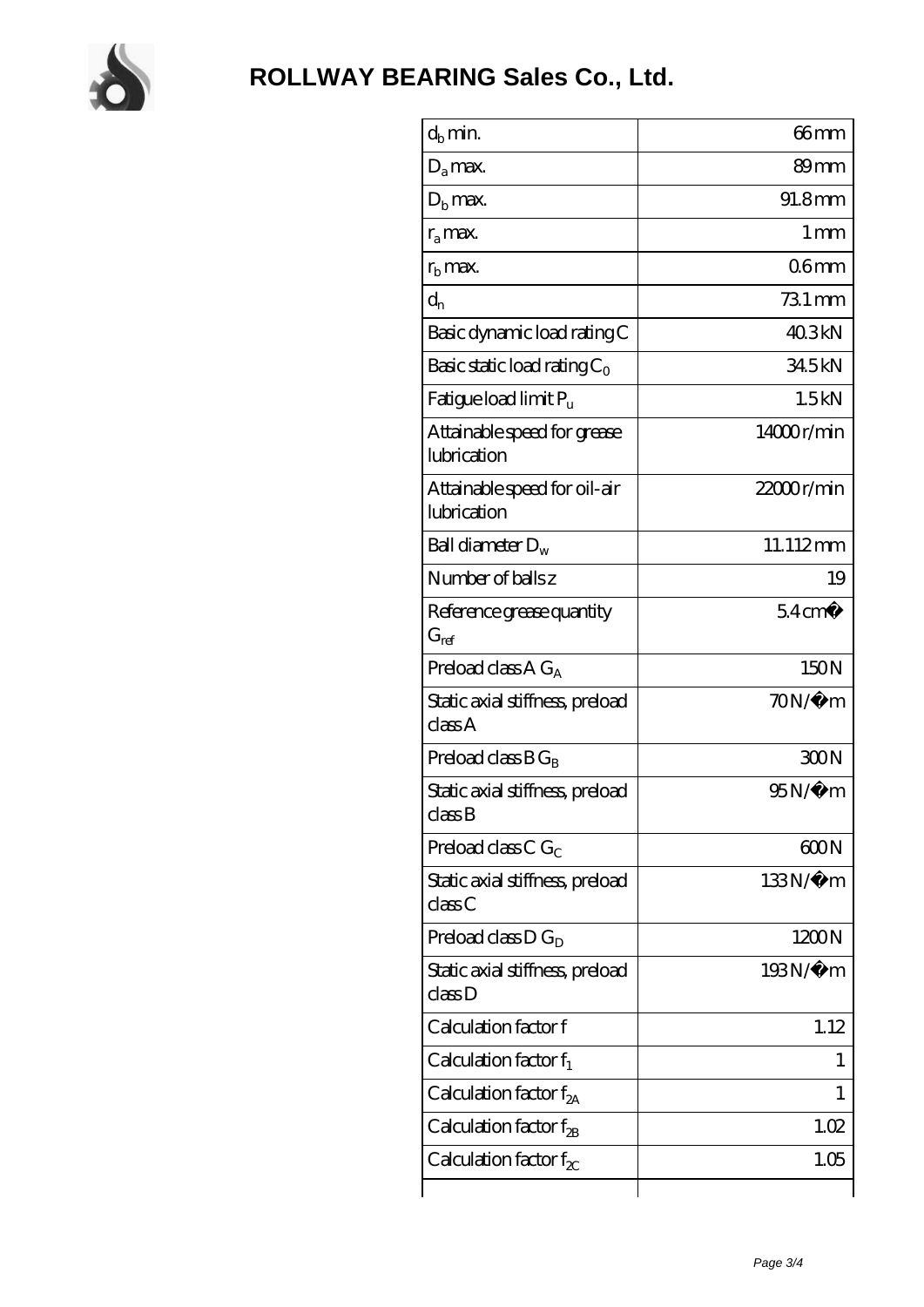

| $d_h$ min.                                  | 66mm              |
|---------------------------------------------|-------------------|
| $D_a$ max.                                  | 89mm              |
| $D_{b}$ max.                                | 91.8mm            |
| $r_a$ max.                                  | 1 <sub>mm</sub>   |
| $r_{\rm b}$ max.                            | 06 <sub>mm</sub>  |
| $d_{n}$                                     | 731 mm            |
| Basic dynamic load rating C                 | 40.3kN            |
| Basic static load rating $C_0$              | 34.5kN            |
| Fatigue load limit P <sub>u</sub>           | 1.5kN             |
| Attainable speed for grease<br>lubrication  | 14000r/min        |
| Attainable speed for oil-air<br>lubrication | 22000r/min        |
| Ball diameter $D_w$                         | 11.112mm          |
| Number of balls z                           | 19                |
| Reference grease quantity<br>$G_{ref}$      | $54 \text{ cm}^3$ |
| Preload class $AG_A$                        | 150N              |
| Static axial stiffness, preload<br>classA   | $70N/\mu$ m       |
| Preload class $BG_B$                        | 300N              |
| Static axial stiffness, preload<br>class B  | $95N/\mu$ m       |
| Preload class C $G_C$                       | 600N              |
| Static axial stiffness, preload<br>classC   | 133N/μ m          |
| Preload class $D G_D$                       | 1200N             |
| Static axial stiffness, preload<br>classD   | 193N/μ m          |
| Calculation factor f                        | 1.12              |
| Calculation factor $f_1$                    | 1                 |
| C alculation factor $f_{2A}$                | 1                 |
| Calculation factor $f_{\rm 2B}$             | 1.02              |
| Calculation factor $f_{\chi}$               | 1.05              |
|                                             |                   |